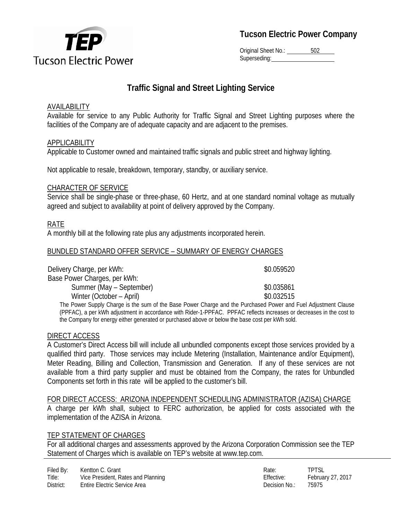

**Tucson Electric Power Company**

Original Sheet No.: 502 Superseding:

# **Traffic Signal and Street Lighting Service**

# AVAILABILITY

Available for service to any Public Authority for Traffic Signal and Street Lighting purposes where the facilities of the Company are of adequate capacity and are adjacent to the premises.

# APPLICABILITY

Applicable to Customer owned and maintained traffic signals and public street and highway lighting.

Not applicable to resale, breakdown, temporary, standby, or auxiliary service.

## CHARACTER OF SERVICE

Service shall be single-phase or three-phase, 60 Hertz, and at one standard nominal voltage as mutually agreed and subject to availability at point of delivery approved by the Company.

# RATE

A monthly bill at the following rate plus any adjustments incorporated herein.

## BUNDLED STANDARD OFFER SERVICE – SUMMARY OF ENERGY CHARGES

| Delivery Charge, per kWh:               | \$0.059520 |
|-----------------------------------------|------------|
| Base Power Charges, per kWh:            |            |
| Summer (May – September)                | \$0.035861 |
| Winter (October – April)                | \$0.032515 |
| חותות מונות המונות ומונות ומונות המונות |            |

The Power Supply Charge is the sum of the Base Power Charge and the Purchased Power and Fuel Adjustment Clause (PPFAC), a per kWh adjustment in accordance with Rider-1-PPFAC. PPFAC reflects increases or decreases in the cost to the Company for energy either generated or purchased above or below the base cost per kWh sold.

## DIRECT ACCESS

A Customer's Direct Access bill will include all unbundled components except those services provided by a qualified third party. Those services may include Metering (Installation, Maintenance and/or Equipment), Meter Reading, Billing and Collection, Transmission and Generation. If any of these services are not available from a third party supplier and must be obtained from the Company, the rates for Unbundled Components set forth in this rate will be applied to the customer's bill.

#### FOR DIRECT ACCESS: ARIZONA INDEPENDENT SCHEDULING ADMINISTRATOR (AZISA) CHARGE

A charge per kWh shall, subject to FERC authorization, be applied for costs associated with the implementation of the AZISA in Arizona.

## TEP STATEMENT OF CHARGES

For all additional charges and assessments approved by the Arizona Corporation Commission see the TEP Statement of Charges which is available on TEP's website at www.tep.com.

| Rate:             | <b>TPTSI</b>      |
|-------------------|-------------------|
| <b>Effective:</b> | February 27, 2017 |
| Decision No.:     | 75975             |